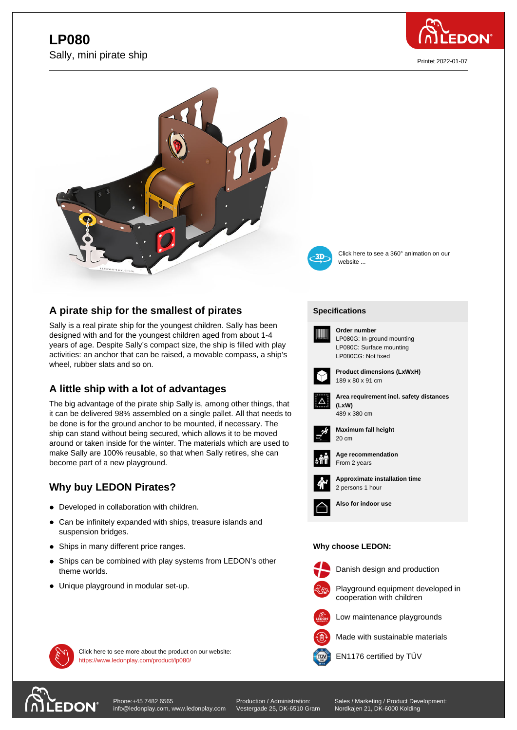# **L**.  $\bullet$ Sally, mini pirate ship



Printet 2022-01-07



## **A pirate ship for the smallest of pirates**

Sally is a real pirate ship for the youngest children. Sally has been designed with and for the youngest children aged from about 1-4 years of age. Despite Sally's compact size, the ship is filled with play activities: an anchor that can be raised, a movable compass, a ship's wheel, rubber slats and so on.

## **A little ship with a lot of advantages**

The big advantage of the pirate ship Sally is, among other things, that it can be delivered 98% assembled on a single pallet. All that needs to be done is for the ground anchor to be mounted, if necessary. The ship can stand without being secured, which allows it to be moved around or taken inside for the winter. The materials which are used to make Sally are 100% reusable, so that when Sally retires, she can become part of a new playground.

## **Why buy LEDON Pirates?**

- Developed in collaboration with children.
- Can be infinitely expanded with ships, treasure islands and suspension bridges.
- Ships in many different price ranges.
- Ships can be combined with play systems from LEDON's other theme worlds.
- Unique playground in modular set-up.

https://www.ledonplay.com/product/lp080/



Click here to see a 360° animation on our website ...

### **[Specific](https://www.ledonplay.com/product/lp080/)ations [Speci](https://www.ledonplay.com/product/lp080/)fications**



**Order number** LP080G: In-ground mounting LP080C: Surface mounting LP080CG: Not fixed



**Product dimensions (LxWxH)** 189 x 80 x 91 cm



**Area requirement incl. safety distances (LxW) (LxW)** 489 x 380 cm



**Maximum fall height** 20 cm 20 cm



**Age recommendation** From 2 years



**Approximate installation time** 2 persons 1 hour



**Also for indoor use**

### **Why choose LEDON: Why choose LEDON:**



Danish design and production





Low maintenance playgrounds



Click here to see more about the product on our website:<br> **EN1176** certified by TÜV



[Phone:+45 7482 6565](https://www.ledonplay.com/product/lp080/) info@ledonplay.com, www.ledonplay.com Production / Administration: Vestergade 25, DK-6510 Gram Sales / Marketing / Product Development: Nordkajen 21, DK-6000 Kolding